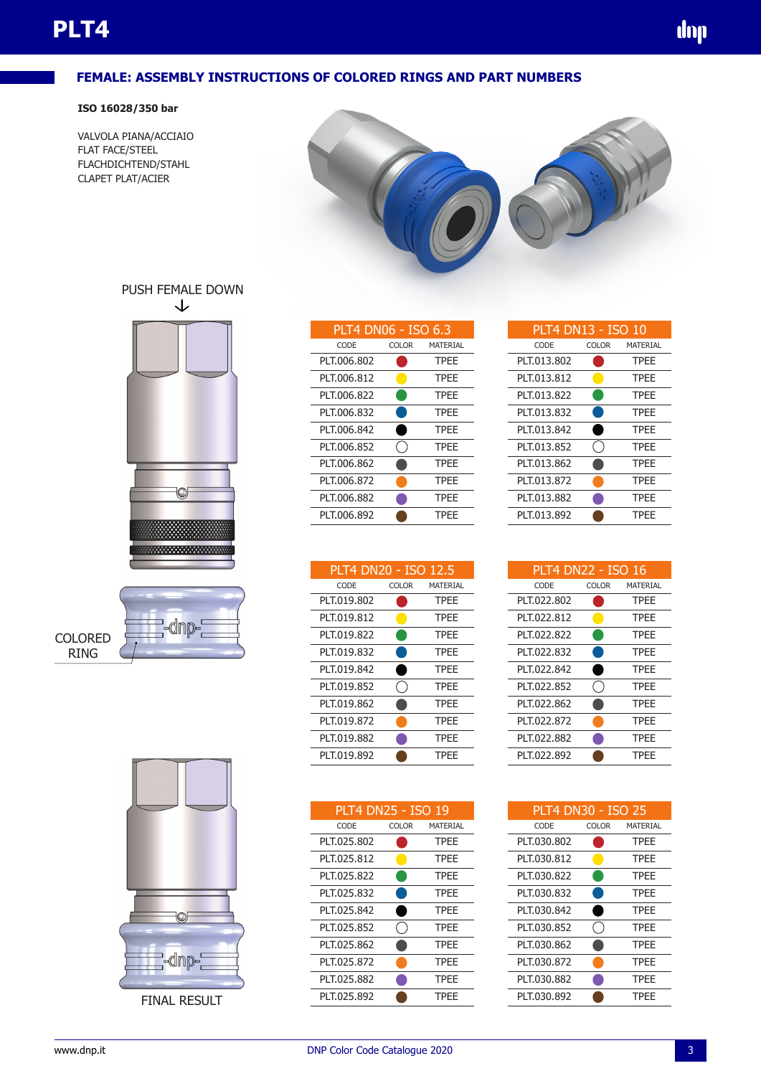### **FEMALE: ASSEMBLY INSTRUCTIONS OF COLORED RINGS AND PART NUMBERS**

#### **ISO 16028/350 bar**

VALVOLA PIANA/ACCIAIO FLAT FACE/STEEL FLACHDICHTEND/STAHL CLAPET PLAT/ACIER



# PUSH FEMALE DOWN







**FINAL RESULT** 

| PLT4 DN06 - ISO 6.3 |              |             |  |
|---------------------|--------------|-------------|--|
| CODE                | <b>COLOR</b> | MATERIAL    |  |
| PLT.006.802         |              | <b>TPFF</b> |  |
| PLT.006.812         |              | <b>TPFF</b> |  |
| PLT.006.822         |              | <b>TPEE</b> |  |
| PLT.006.832         |              | <b>TPEE</b> |  |
| PLT.006.842         |              | <b>TPFF</b> |  |
| PLT.006.852         |              | <b>TPFF</b> |  |
| PLT.006.862         |              | <b>TPFF</b> |  |
| PLT.006.872         |              | <b>TPFF</b> |  |
| PLT.006.882         |              | <b>TPEE</b> |  |
| PLT.006.892         |              | <b>TPEE</b> |  |
|                     |              |             |  |

| PLT4 DN20 - ISO 12.5 |              |             |
|----------------------|--------------|-------------|
| CODE                 | <b>COLOR</b> | MATERIAL    |
| PLT.019.802          |              | <b>TPFF</b> |
| PLT.019.812          |              | <b>TPFF</b> |
| PLT.019.822          |              | <b>TPFF</b> |
| PLT.019.832          |              | <b>TPFF</b> |
| PLT.019.842          |              | <b>TPEE</b> |
| PLT.019.852          |              | <b>TPEE</b> |
| PLT.019.862          |              | <b>TPFF</b> |
| PLT.019.872          |              | <b>TPFF</b> |
| PLT.019.882          |              | <b>TPFF</b> |
| PLT.019.892          |              | TPFF        |

| CODE<br><b>COLOR</b><br>MATERIAL<br>PLT.025.802<br><b>TPEE</b><br>PLT.025.812<br><b>TPFF</b><br>PLT.025.822<br><b>TPFF</b> |
|----------------------------------------------------------------------------------------------------------------------------|
|                                                                                                                            |
|                                                                                                                            |
|                                                                                                                            |
|                                                                                                                            |
| PLT.025.832<br><b>TPEE</b>                                                                                                 |
| PLT.025.842<br><b>TPFF</b>                                                                                                 |
| PLT.025.852<br><b>TPFF</b>                                                                                                 |
| PLT.025.862<br><b>TPFF</b>                                                                                                 |
| PLT.025.872<br><b>TPFF</b>                                                                                                 |
| PLT.025.882<br><b>TPFF</b>                                                                                                 |
| PLT.025.892<br><b>TPFF</b>                                                                                                 |

| PLT4 DN13 - ISO 10 |              |             |
|--------------------|--------------|-------------|
| CODE               | <b>COLOR</b> | MATERIAL    |
| PLT.013.802        |              | <b>TPEE</b> |
| PLT.013.812        |              | <b>TPEE</b> |
| PLT.013.822        |              | <b>TPEE</b> |
| PLT.013.832        |              | <b>TPEE</b> |
| PLT.013.842        |              | <b>TPFF</b> |
| PLT.013.852        |              | <b>TPEE</b> |
| PLT.013.862        |              | <b>TPFF</b> |
| PLT.013.872        |              | <b>TPFF</b> |
| PLT.013.882        |              | <b>TPFF</b> |
| PLT.013.892        |              | TPFF        |

dop

| PLT4 DN22 - ISO 16 |              |             |
|--------------------|--------------|-------------|
| CODE               | <b>COLOR</b> | MATERIAL    |
| PLT.022.802        |              | <b>TPFF</b> |
| PIT 022.812        |              | <b>TPFF</b> |
| PLT.022.822        |              | <b>TPFF</b> |
| PLT.022.832        |              | <b>TPFF</b> |
| PIT 022.842        |              | <b>TPFF</b> |
| PIT 022.852        |              | <b>TPFF</b> |
| PIT022.862         |              | <b>TPFF</b> |
| PLT.022.872        |              | <b>TPFF</b> |
| PLT.022.882        |              | <b>TPFF</b> |
| PLT.022.892        |              | <b>TPEF</b> |

| <b>PLT4 DN30 - ISO 25</b> |              |             |
|---------------------------|--------------|-------------|
| CODE                      | <b>COLOR</b> | MATERIAL    |
| PLT.030.802               |              | <b>TPEE</b> |
| PLT.030.812               |              | <b>TPEE</b> |
| PLT.030.822               |              | <b>TPEE</b> |
| PLT.030.832               |              | <b>TPFF</b> |
| PLT.030.842               |              | <b>TPFF</b> |
| PLT.030.852               |              | <b>TPFF</b> |
| PLT.030.862               |              | <b>TPFF</b> |
| PLT.030.872               |              | <b>TPFF</b> |
| PLT.030.882               |              | <b>TPEE</b> |
| PLT.030.892               |              | TPFF        |

| PLT4 DN13 - ISO 10 |              |                |
|--------------------|--------------|----------------|
| CODE               | <b>COLOR</b> | <b>MATERIA</b> |
| PLT.013.802        |              | <b>TPFF</b>    |
| PLT.013.812        |              | <b>TPFF</b>    |
| PLT.013.822        |              | <b>TPFF</b>    |
| PLT.013.832        |              | <b>TPFF</b>    |
| PLT.013.842        |              | <b>TPFF</b>    |
| PLT.013.852        |              | <b>TPFF</b>    |
| PLT.013.862        |              | <b>TPFF</b>    |
| PLT.013.872        |              | TPFF           |

| VM |  |  |
|----|--|--|